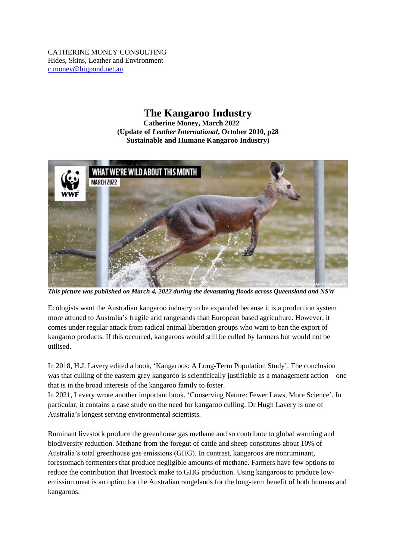CATHERINE MONEY CONSULTING Hides, Skins, Leather and Environment [c.money@bigpond.net.au](mailto:c.money@bigpond.net.au)

## **The Kangaroo Industry**

**Catherine Money, March 2022 (Update of** *Leather International***, October 2010, p28 Sustainable and Humane Kangaroo Industry)**



*This picture was published on March 4, 2022 during the devastating floods across Queensland and NSW*

Ecologists want the Australian kangaroo industry to be expanded because it is a production system more attuned to Australia's fragile arid rangelands than European based agriculture. However, it comes under regular attack from radical animal liberation groups who want to ban the export of kangaroo products. If this occurred, kangaroos would still be culled by farmers but would not be utilised.

In 2018, H.J. Lavery edited a book, 'Kangaroos: A Long-Term Population Study'. The conclusion was that culling of the eastern grey kangaroo is scientifically justifiable as a management action – one that is in the broad interests of the kangaroo family to foster.

In 2021, Lavery wrote another important book, 'Conserving Nature: Fewer Laws, More Science'. In particular, it contains a case study on the need for kangaroo culling. Dr Hugh Lavery is one of Australia's longest serving environmental scientists.

Ruminant livestock produce the greenhouse gas methane and so contribute to global warming and biodiversity reduction. Methane from the foregut of cattle and sheep constitutes about 10% of Australia's total greenhouse gas emissions (GHG). In contrast, kangaroos are nonruminant, forestomach fermenters that produce negligible amounts of methane. Farmers have few options to reduce the contribution that livestock make to GHG production. Using kangaroos to produce lowemission meat is an option for the Australian rangelands for the long-term benefit of both humans and kangaroos.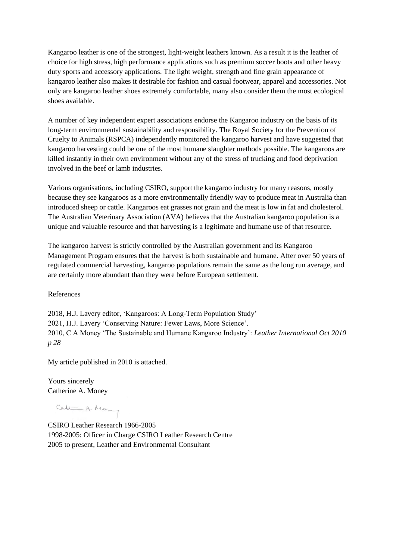Kangaroo leather is one of the strongest, light-weight leathers known. As a result it is the leather of choice for high stress, high performance applications such as premium soccer boots and other heavy duty sports and accessory applications. The light weight, strength and fine grain appearance of kangaroo leather also makes it desirable for fashion and casual footwear, apparel and accessories. Not only are kangaroo leather shoes extremely comfortable, many also consider them the most ecological shoes available.

A number of key independent expert associations endorse the Kangaroo industry on the basis of its long-term environmental sustainability and responsibility. The Royal Society for the Prevention of Cruelty to Animals (RSPCA) independently monitored the kangaroo harvest and have suggested that kangaroo harvesting could be one of the most humane slaughter methods possible. The kangaroos are killed instantly in their own environment without any of the stress of trucking and food deprivation involved in the beef or lamb industries.

Various organisations, including CSIRO, support the kangaroo industry for many reasons, mostly because they see kangaroos as a more environmentally friendly way to produce meat in Australia than introduced sheep or cattle. Kangaroos eat grasses not grain and the meat is low in fat and cholesterol. The Australian Veterinary Association (AVA) believes that the Australian kangaroo population is a unique and valuable resource and that harvesting is a legitimate and humane use of that resource.

The kangaroo harvest is strictly controlled by the Australian government and its Kangaroo Management Program ensures that the harvest is both sustainable and humane. After over 50 years of regulated commercial harvesting, kangaroo populations remain the same as the long run average, and are certainly more abundant than they were before European settlement.

References

2018, H.J. Lavery editor, 'Kangaroos: A Long-Term Population Study' 2021, H.J. Lavery 'Conserving Nature: Fewer Laws, More Science'. 2010, C A Money 'The Sustainable and Humane Kangaroo Industry': *Leather International Oct 2010 p 28*

My article published in 2010 is attached.

Yours sincerely Catherine A. Money

Call A May

CSIRO Leather Research 1966-2005 1998-2005: Officer in Charge CSIRO Leather Research Centre 2005 to present, Leather and Environmental Consultant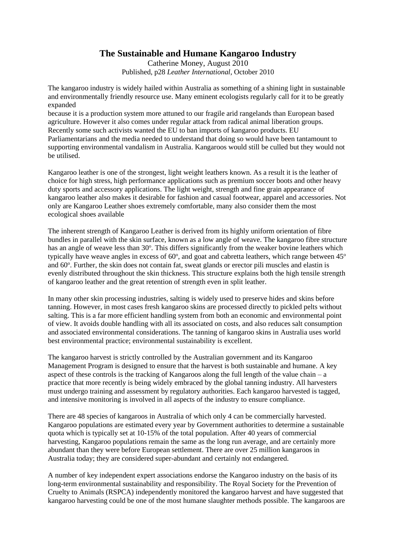## **The Sustainable and Humane Kangaroo Industry**

Catherine Money, August 2010 Published, p28 *Leather International*, October 2010

The kangaroo industry is widely hailed within Australia as something of a shining light in sustainable and environmentally friendly resource use. Many eminent ecologists regularly call for it to be greatly expanded

because it is a production system more attuned to our fragile arid rangelands than European based agriculture. However it also comes under regular attack from radical animal liberation groups. Recently some such activists wanted the EU to ban imports of kangaroo products. EU Parliamentarians and the media needed to understand that doing so would have been tantamount to supporting environmental vandalism in Australia. Kangaroos would still be culled but they would not be utilised.

Kangaroo leather is one of the strongest, light weight leathers known. As a result it is the leather of choice for high stress, high performance applications such as premium soccer boots and other heavy duty sports and accessory applications. The light weight, strength and fine grain appearance of kangaroo leather also makes it desirable for fashion and casual footwear, apparel and accessories. Not only are Kangaroo Leather shoes extremely comfortable, many also consider them the most ecological shoes available

The inherent strength of Kangaroo Leather is derived from its highly uniform orientation of fibre bundles in parallel with the skin surface, known as a low angle of weave. The kangaroo fibre structure has an angle of weave less than 30°. This differs significantly from the weaker bovine leathers which typically have weave angles in excess of  $60^{\circ}$ , and goat and cabretta leathers, which range between  $45^{\circ}$ and 60°. Further, the skin does not contain fat, sweat glands or erector pili muscles and elastin is evenly distributed throughout the skin thickness. This structure explains both the high tensile strength of kangaroo leather and the great retention of strength even in split leather.

In many other skin processing industries, salting is widely used to preserve hides and skins before tanning. However, in most cases fresh kangaroo skins are processed directly to pickled pelts without salting. This is a far more efficient handling system from both an economic and environmental point of view. It avoids double handling with all its associated on costs, and also reduces salt consumption and associated environmental considerations. The tanning of kangaroo skins in Australia uses world best environmental practice; environmental sustainability is excellent.

The kangaroo harvest is strictly controlled by the Australian government and its Kangaroo Management Program is designed to ensure that the harvest is both sustainable and humane. A key aspect of these controls is the tracking of Kangaroos along the full length of the value chain –  $a$ practice that more recently is being widely embraced by the global tanning industry. All harvesters must undergo training and assessment by regulatory authorities. Each kangaroo harvested is tagged, and intensive monitoring is involved in all aspects of the industry to ensure compliance.

There are 48 species of kangaroos in Australia of which only 4 can be commercially harvested. Kangaroo populations are estimated every year by Government authorities to determine a sustainable quota which is typically set at 10-15% of the total population. After 40 years of commercial harvesting, Kangaroo populations remain the same as the long run average, and are certainly more abundant than they were before European settlement. There are over 25 million kangaroos in Australia today; they are considered super-abundant and certainly not endangered.

A number of key independent expert associations endorse the Kangaroo industry on the basis of its long-term environmental sustainability and responsibility. The Royal Society for the Prevention of Cruelty to Animals (RSPCA) independently monitored the kangaroo harvest and have suggested that kangaroo harvesting could be one of the most humane slaughter methods possible. The kangaroos are